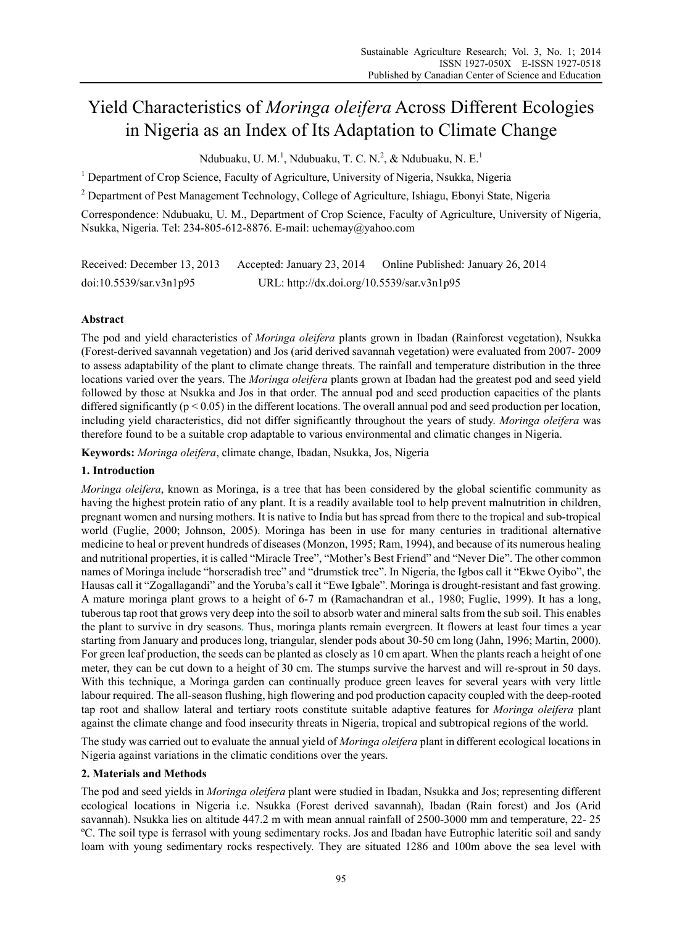# Yield Characteristics of *Moringa oleifera* Across Different Ecologies in Nigeria as an Index of Its Adaptation to Climate Change

Ndubuaku, U. M.<sup>1</sup>, Ndubuaku, T. C. N.<sup>2</sup>, & Ndubuaku, N. E.<sup>1</sup>

<sup>1</sup> Department of Crop Science, Faculty of Agriculture, University of Nigeria, Nsukka, Nigeria

<sup>2</sup> Department of Pest Management Technology, College of Agriculture, Ishiagu, Ebonyi State, Nigeria

Correspondence: Ndubuaku, U. M., Department of Crop Science, Faculty of Agriculture, University of Nigeria, Nsukka, Nigeria. Tel: 234-805-612-8876. E-mail: uchemay@yahoo.com

| Received: December 13, 2013 | Accepted: January 23, 2014                 | Online Published: January 26, 2014 |
|-----------------------------|--------------------------------------------|------------------------------------|
| doi:10.5539/sar.v3n1p95     | URL: http://dx.doi.org/10.5539/sar.v3n1p95 |                                    |

# **Abstract**

The pod and yield characteristics of *Moringa oleifera* plants grown in Ibadan (Rainforest vegetation), Nsukka (Forest-derived savannah vegetation) and Jos (arid derived savannah vegetation) were evaluated from 2007- 2009 to assess adaptability of the plant to climate change threats. The rainfall and temperature distribution in the three locations varied over the years. The *Moringa oleifera* plants grown at Ibadan had the greatest pod and seed yield followed by those at Nsukka and Jos in that order. The annual pod and seed production capacities of the plants differed significantly  $(p < 0.05)$  in the different locations. The overall annual pod and seed production per location, including yield characteristics, did not differ significantly throughout the years of study. *Moringa oleifera* was therefore found to be a suitable crop adaptable to various environmental and climatic changes in Nigeria.

**Keywords:** *Moringa oleifera*, climate change, Ibadan, Nsukka, Jos, Nigeria

## **1. Introduction**

*Moringa oleifera*, known as Moringa, is a tree that has been considered by the global scientific community as having the highest protein ratio of any plant. It is a readily available tool to help prevent malnutrition in children, pregnant women and nursing mothers. It is native to India but has spread from there to the tropical and sub-tropical world (Fuglie, 2000; Johnson, 2005). Moringa has been in use for many centuries in traditional alternative medicine to heal or prevent hundreds of diseases (Monzon, 1995; Ram, 1994), and because of its numerous healing and nutritional properties, it is called "Miracle Tree", "Mother's Best Friend" and "Never Die". The other common names of Moringa include "horseradish tree" and "drumstick tree". In Nigeria, the Igbos call it "Ekwe Oyibo", the Hausas call it "Zogallagandi" and the Yoruba's call it "Ewe Igbale". Moringa is drought-resistant and fast growing. A mature moringa plant grows to a height of 6-7 m (Ramachandran et al., 1980; Fuglie, 1999). It has a long, tuberous tap root that grows very deep into the soil to absorb water and mineral salts from the sub soil. This enables the plant to survive in dry seasons. Thus, moringa plants remain evergreen. It flowers at least four times a year starting from January and produces long, triangular, slender pods about 30-50 cm long (Jahn, 1996; Martin, 2000). For green leaf production, the seeds can be planted as closely as 10 cm apart. When the plants reach a height of one meter, they can be cut down to a height of 30 cm. The stumps survive the harvest and will re-sprout in 50 days. With this technique, a Moringa garden can continually produce green leaves for several years with very little labour required. The all-season flushing, high flowering and pod production capacity coupled with the deep-rooted tap root and shallow lateral and tertiary roots constitute suitable adaptive features for *Moringa oleifera* plant against the climate change and food insecurity threats in Nigeria, tropical and subtropical regions of the world.

The study was carried out to evaluate the annual yield of *Moringa oleifera* plant in different ecological locations in Nigeria against variations in the climatic conditions over the years.

# **2. Materials and Methods**

The pod and seed yields in *Moringa oleifera* plant were studied in Ibadan, Nsukka and Jos; representing different ecological locations in Nigeria i.e. Nsukka (Forest derived savannah), Ibadan (Rain forest) and Jos (Arid savannah). Nsukka lies on altitude 447.2 m with mean annual rainfall of 2500-3000 mm and temperature, 22- 25 ºC. The soil type is ferrasol with young sedimentary rocks. Jos and Ibadan have Eutrophic lateritic soil and sandy loam with young sedimentary rocks respectively. They are situated 1286 and 100m above the sea level with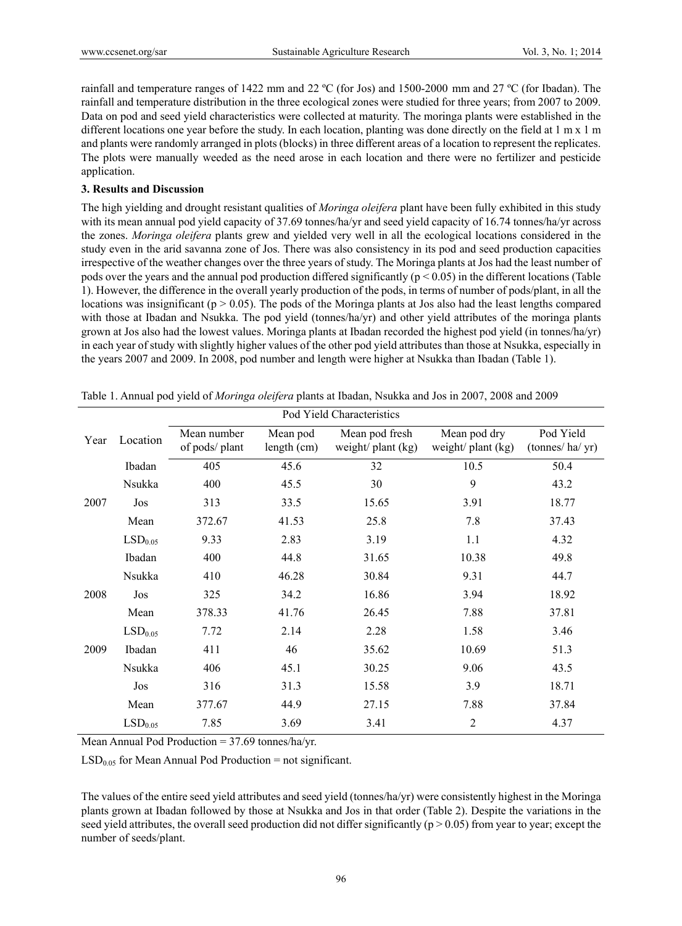rainfall and temperature ranges of 1422 mm and 22 ºC (for Jos) and 1500-2000 mm and 27 ºC (for Ibadan). The rainfall and temperature distribution in the three ecological zones were studied for three years; from 2007 to 2009. Data on pod and seed yield characteristics were collected at maturity. The moringa plants were established in the different locations one year before the study. In each location, planting was done directly on the field at 1 m x 1 m and plants were randomly arranged in plots (blocks) in three different areas of a location to represent the replicates. The plots were manually weeded as the need arose in each location and there were no fertilizer and pesticide application.

### **3. Results and Discussion**

The high yielding and drought resistant qualities of *Moringa oleifera* plant have been fully exhibited in this study with its mean annual pod yield capacity of 37.69 tonnes/ha/yr and seed yield capacity of 16.74 tonnes/ha/yr across the zones. *Moringa oleifera* plants grew and yielded very well in all the ecological locations considered in the study even in the arid savanna zone of Jos. There was also consistency in its pod and seed production capacities irrespective of the weather changes over the three years of study. The Moringa plants at Jos had the least number of pods over the years and the annual pod production differed significantly ( $p < 0.05$ ) in the different locations (Table 1). However, the difference in the overall yearly production of the pods, in terms of number of pods/plant, in all the locations was insignificant ( $p > 0.05$ ). The pods of the Moringa plants at Jos also had the least lengths compared with those at Ibadan and Nsukka. The pod yield (tonnes/ha/yr) and other yield attributes of the moringa plants grown at Jos also had the lowest values. Moringa plants at Ibadan recorded the highest pod yield (in tonnes/ha/yr) in each year of study with slightly higher values of the other pod yield attributes than those at Nsukka, especially in the years 2007 and 2009. In 2008, pod number and length were higher at Nsukka than Ibadan (Table 1).

| Pod Yield Characteristics |                     |                               |                         |                                      |                                    |                             |  |  |  |  |
|---------------------------|---------------------|-------------------------------|-------------------------|--------------------------------------|------------------------------------|-----------------------------|--|--|--|--|
| Location<br>Year          |                     | Mean number<br>of pods/ plant | Mean pod<br>length (cm) | Mean pod fresh<br>weight/ plant (kg) | Mean pod dry<br>weight/ plant (kg) | Pod Yield<br>(tonnes/ha/yr) |  |  |  |  |
|                           | Ibadan              | 405                           | 45.6                    | 32                                   | 10.5                               | 50.4                        |  |  |  |  |
|                           | Nsukka              | 400                           | 45.5                    | 30                                   | 9                                  | 43.2                        |  |  |  |  |
| 2007                      | Jos                 | 313                           | 33.5                    | 15.65                                | 3.91                               | 18.77                       |  |  |  |  |
|                           | Mean                | 372.67                        | 41.53                   | 25.8                                 | 7.8                                | 37.43                       |  |  |  |  |
|                           | LSD <sub>0.05</sub> | 9.33                          | 2.83                    | 3.19                                 | 1.1                                | 4.32                        |  |  |  |  |
|                           | Ibadan              | 400                           | 44.8                    | 31.65                                | 10.38                              | 49.8                        |  |  |  |  |
|                           | Nsukka              | 410                           | 46.28                   | 30.84                                | 9.31                               | 44.7                        |  |  |  |  |
| 2008                      | Jos                 | 325                           | 34.2                    | 16.86                                | 3.94                               | 18.92                       |  |  |  |  |
|                           | Mean                | 378.33                        | 41.76                   | 26.45                                | 7.88                               | 37.81                       |  |  |  |  |
|                           | LSD <sub>0.05</sub> | 7.72                          | 2.14                    | 2.28                                 | 1.58                               | 3.46                        |  |  |  |  |
| 2009                      | Ibadan              | 411                           | 46                      | 35.62                                | 10.69                              | 51.3                        |  |  |  |  |
|                           | Nsukka              | 406                           | 45.1                    | 30.25                                | 9.06                               | 43.5                        |  |  |  |  |
|                           | Jos                 | 316                           | 31.3                    | 15.58                                | 3.9                                | 18.71                       |  |  |  |  |
|                           | Mean                | 377.67                        | 44.9                    | 27.15                                | 7.88                               | 37.84                       |  |  |  |  |
|                           | LSD <sub>0.05</sub> | 7.85                          | 3.69                    | 3.41                                 | $\overline{2}$                     | 4.37                        |  |  |  |  |

Table 1. Annual pod yield of *Moringa oleifera* plants at Ibadan, Nsukka and Jos in 2007, 2008 and 2009

Mean Annual Pod Production = 37.69 tonnes/ha/yr.

 $LSD<sub>0.05</sub>$  for Mean Annual Pod Production = not significant.

The values of the entire seed yield attributes and seed yield (tonnes/ha/yr) were consistently highest in the Moringa plants grown at Ibadan followed by those at Nsukka and Jos in that order (Table 2). Despite the variations in the seed yield attributes, the overall seed production did not differ significantly ( $p > 0.05$ ) from year to year; except the number of seeds/plant.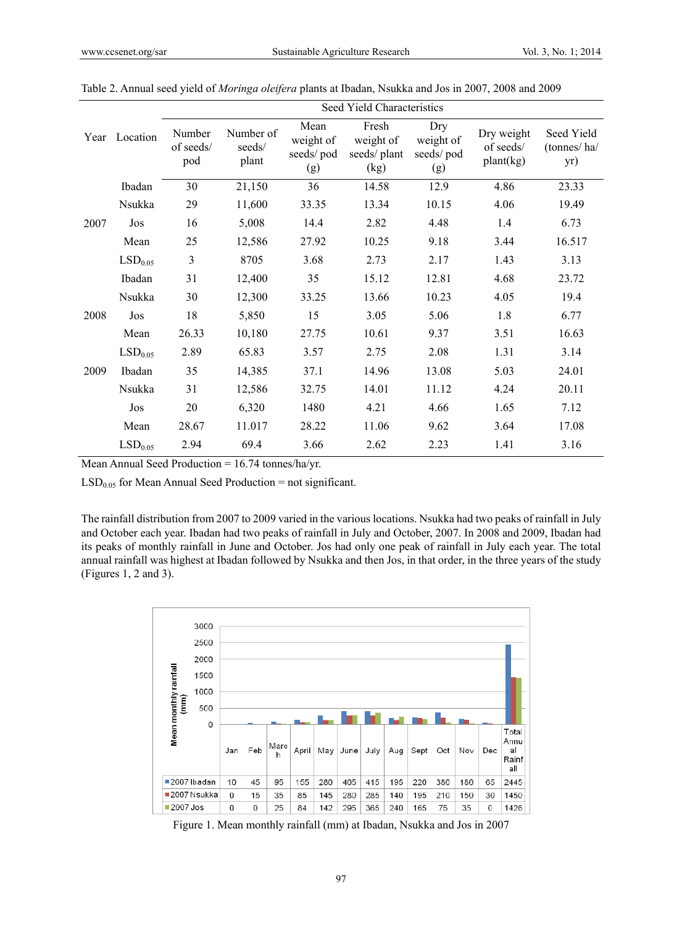|      | Location            | Seed Yield Characteristics |                              |                                       |                                           |                                      |                                      |                                  |  |  |  |  |
|------|---------------------|----------------------------|------------------------------|---------------------------------------|-------------------------------------------|--------------------------------------|--------------------------------------|----------------------------------|--|--|--|--|
| Year |                     | Number<br>of seeds/<br>pod | Number of<br>seeds/<br>plant | Mean<br>weight of<br>seeds/pod<br>(g) | Fresh<br>weight of<br>seeds/plant<br>(kg) | Dry<br>weight of<br>seeds/pod<br>(g) | Dry weight<br>of seeds/<br>plant(kg) | Seed Yield<br>(tonnes/ha/<br>yr) |  |  |  |  |
|      | Ibadan              | 30                         | 21,150                       | 36                                    | 14.58                                     | 12.9                                 | 4.86                                 | 23.33                            |  |  |  |  |
|      | Nsukka              | 29                         | 11,600                       | 33.35                                 | 13.34                                     | 10.15                                | 4.06                                 | 19.49                            |  |  |  |  |
| 2007 | Jos                 | 16                         | 5,008                        | 14.4                                  | 2.82                                      | 4.48                                 | 1.4                                  | 6.73                             |  |  |  |  |
|      | Mean                | 25                         | 12,586                       | 27.92                                 | 10.25                                     | 9.18                                 | 3.44                                 | 16.517                           |  |  |  |  |
|      | LSD <sub>0.05</sub> | $\overline{3}$             | 8705                         | 3.68                                  | 2.73                                      | 2.17                                 | 1.43                                 | 3.13                             |  |  |  |  |
|      | Ibadan              | 31                         | 12,400                       | 35                                    | 15.12                                     | 12.81                                | 4.68                                 | 23.72                            |  |  |  |  |
|      | Nsukka              | 30                         | 12,300                       | 33.25                                 | 13.66                                     | 10.23                                | 4.05                                 | 19.4                             |  |  |  |  |
| 2008 | Jos                 | 18                         | 5,850                        | 15                                    | 3.05                                      | 5.06                                 | 1.8                                  | 6.77                             |  |  |  |  |
|      | Mean                | 26.33                      | 10,180                       | 27.75                                 | 10.61                                     | 9.37                                 | 3.51                                 | 16.63                            |  |  |  |  |
|      | LSD <sub>0.05</sub> | 2.89                       | 65.83                        | 3.57                                  | 2.75                                      | 2.08                                 | 1.31                                 | 3.14                             |  |  |  |  |
| 2009 | Ibadan              | 35                         | 14,385                       | 37.1                                  | 14.96                                     | 13.08                                | 5.03                                 | 24.01                            |  |  |  |  |
|      | Nsukka              | 31                         | 12,586                       | 32.75                                 | 14.01                                     | 11.12                                | 4.24                                 | 20.11                            |  |  |  |  |
|      | Jos                 | 20                         | 6,320                        | 1480                                  | 4.21                                      | 4.66                                 | 1.65                                 | 7.12                             |  |  |  |  |
|      | Mean                | 28.67                      | 11.017                       | 28.22                                 | 11.06                                     | 9.62                                 | 3.64                                 | 17.08                            |  |  |  |  |
|      | LSD <sub>0.05</sub> | 2.94                       | 69.4                         | 3.66                                  | 2.62                                      | 2.23                                 | 1.41                                 | 3.16                             |  |  |  |  |

Table 2. Annual seed yield of *Moringa oleifera* plants at Ibadan, Nsukka and Jos in 2007, 2008 and 2009

Mean Annual Seed Production = 16.74 tonnes/ha/yr.

 $LSD<sub>0.05</sub>$  for Mean Annual Seed Production = not significant.

The rainfall distribution from 2007 to 2009 varied in the various locations. Nsukka had two peaks of rainfall in July and October each year. Ibadan had two peaks of rainfall in July and October, 2007. In 2008 and 2009, Ibadan had its peaks of monthly rainfall in June and October. Jos had only one peak of rainfall in July each year. The total annual rainfall was highest at Ibadan followed by Nsukka and then Jos, in that order, in the three years of the study (Figures 1, 2 and 3).



Figure 1. Mean monthly rainfall (mm) at Ibadan, Nsukka and Jos in 2007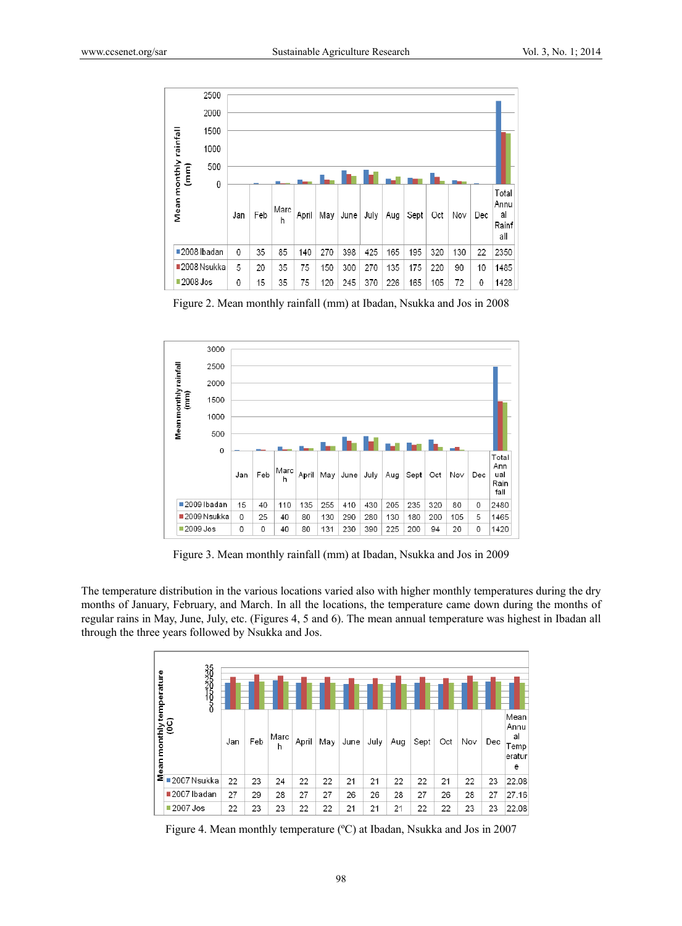

Figure 2. Mean monthly rainfall (mm) at Ibadan, Nsukka and Jos in 2008



Figure 3. Mean monthly rainfall (mm) at Ibadan, Nsukka and Jos in 2009

The temperature distribution in the various locations varied also with higher monthly temperatures during the dry months of January, February, and March. In all the locations, the temperature came down during the months of regular rains in May, June, July, etc. (Figures 4, 5 and 6). The mean annual temperature was highest in Ibadan all through the three years followed by Nsukka and Jos.

| Mean monthly temperature<br>} |              |     |     |           |       |     |      |      |     |      |     |     |     |                                              |
|-------------------------------|--------------|-----|-----|-----------|-------|-----|------|------|-----|------|-----|-----|-----|----------------------------------------------|
|                               |              | Jan | Feb | Marc<br>h | April | May | June | July | Aug | Sept | Oct | Nov | Dec | Mean<br>Annu<br>al<br>⊺Temp ∣<br>eratur<br>е |
|                               | ■2007 Nsukka | 22  | 23  | 24        | 22    | 22  | 21   | 21   | 22  | 22   | 21  | 22  | 23  | 22.08                                        |
|                               | ■2007 Ibadan | 27  | 29  | 28        | 27    | 27  | 26   | 26   | 28  | 27   | 26  | 28  | 27  | 27.16                                        |
|                               | ■2007 Jos    | 22  | 23  | 23        | 22    | 22  | 21   | 21   | 21  | 22   | 22  | 23  | 23  | 22.08                                        |

Figure 4. Mean monthly temperature (ºC) at Ibadan, Nsukka and Jos in 2007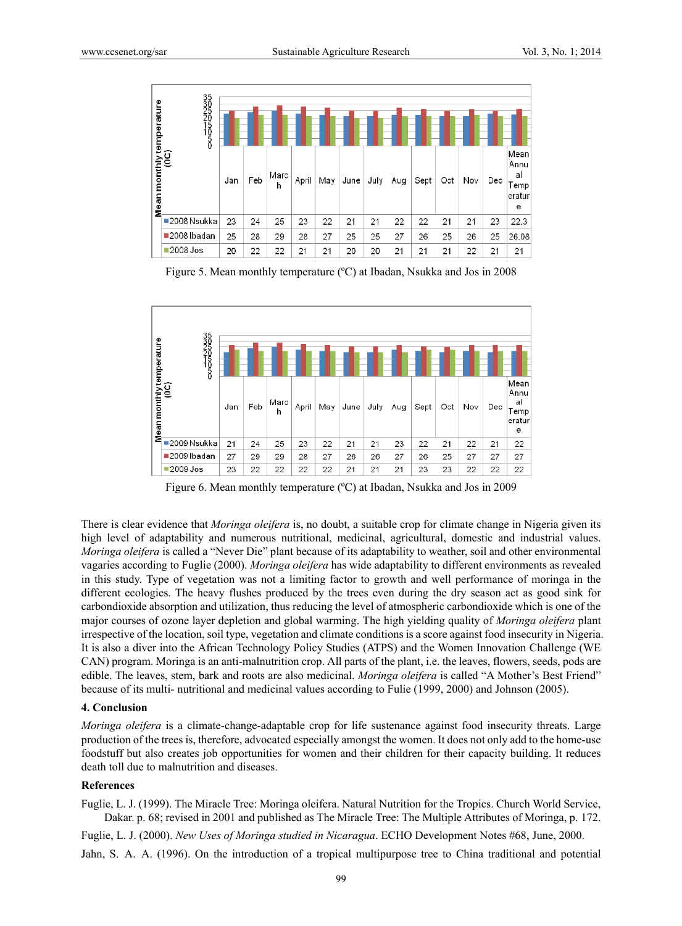

Figure 5. Mean monthly temperature (ºC) at Ibadan, Nsukka and Jos in 2008



Figure 6. Mean monthly temperature (ºC) at Ibadan, Nsukka and Jos in 2009

There is clear evidence that *Moringa oleifera* is, no doubt, a suitable crop for climate change in Nigeria given its high level of adaptability and numerous nutritional, medicinal, agricultural, domestic and industrial values. *Moringa oleifera* is called a "Never Die" plant because of its adaptability to weather, soil and other environmental vagaries according to Fuglie (2000). *Moringa oleifera* has wide adaptability to different environments as revealed in this study. Type of vegetation was not a limiting factor to growth and well performance of moringa in the different ecologies. The heavy flushes produced by the trees even during the dry season act as good sink for carbondioxide absorption and utilization, thus reducing the level of atmospheric carbondioxide which is one of the major courses of ozone layer depletion and global warming. The high yielding quality of *Moringa oleifera* plant irrespective of the location, soil type, vegetation and climate conditions is a score against food insecurity in Nigeria. It is also a diver into the African Technology Policy Studies (ATPS) and the Women Innovation Challenge (WE CAN) program. Moringa is an anti-malnutrition crop. All parts of the plant, i.e. the leaves, flowers, seeds, pods are edible. The leaves, stem, bark and roots are also medicinal. *Moringa oleifera* is called "A Mother's Best Friend" because of its multi- nutritional and medicinal values according to Fulie (1999, 2000) and Johnson (2005).

#### **4. Conclusion**

*Moringa oleifera* is a climate-change-adaptable crop for life sustenance against food insecurity threats. Large production of the trees is, therefore, advocated especially amongst the women. It does not only add to the home-use foodstuff but also creates job opportunities for women and their children for their capacity building. It reduces death toll due to malnutrition and diseases.

#### **References**

Fuglie, L. J. (1999). The Miracle Tree: Moringa oleifera. Natural Nutrition for the Tropics. Church World Service, Dakar. p. 68; revised in 2001 and published as The Miracle Tree: The Multiple Attributes of Moringa, p. 172.

Fuglie, L. J. (2000). *New Uses of Moringa studied in Nicaragua*. ECHO Development Notes #68, June, 2000.

Jahn, S. A. A. (1996). On the introduction of a tropical multipurpose tree to China traditional and potential